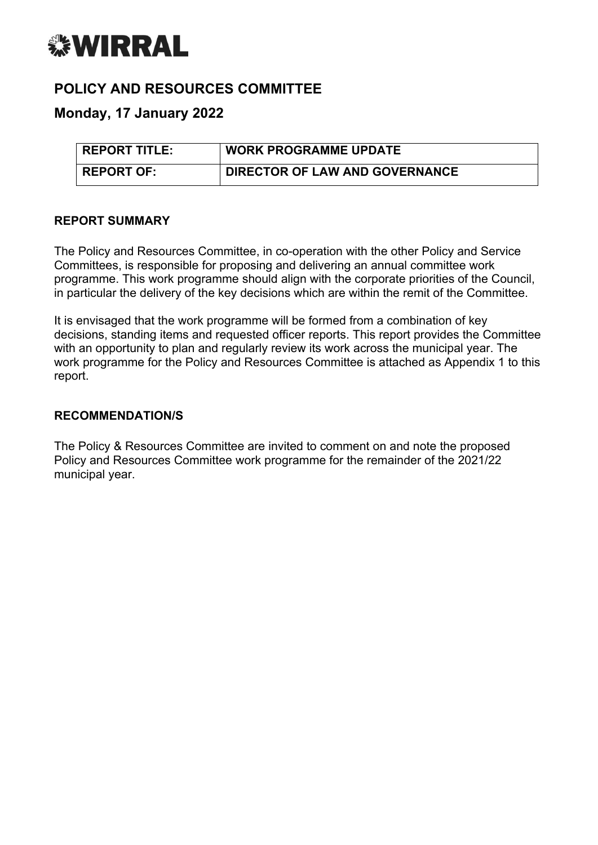

# **POLICY AND RESOURCES COMMITTEE**

## **Monday, 17 January 2022**

| <b>REPORT TITLE:</b> | <b>WORK PROGRAMME UPDATE</b>   |
|----------------------|--------------------------------|
| <b>REPORT OF:</b>    | DIRECTOR OF LAW AND GOVERNANCE |

#### **REPORT SUMMARY**

The Policy and Resources Committee, in co-operation with the other Policy and Service Committees, is responsible for proposing and delivering an annual committee work programme. This work programme should align with the corporate priorities of the Council, in particular the delivery of the key decisions which are within the remit of the Committee.

It is envisaged that the work programme will be formed from a combination of key decisions, standing items and requested officer reports. This report provides the Committee with an opportunity to plan and regularly review its work across the municipal year. The work programme for the Policy and Resources Committee is attached as Appendix 1 to this report.

#### **RECOMMENDATION/S**

The Policy & Resources Committee are invited to comment on and note the proposed Policy and Resources Committee work programme for the remainder of the 2021/22 municipal year.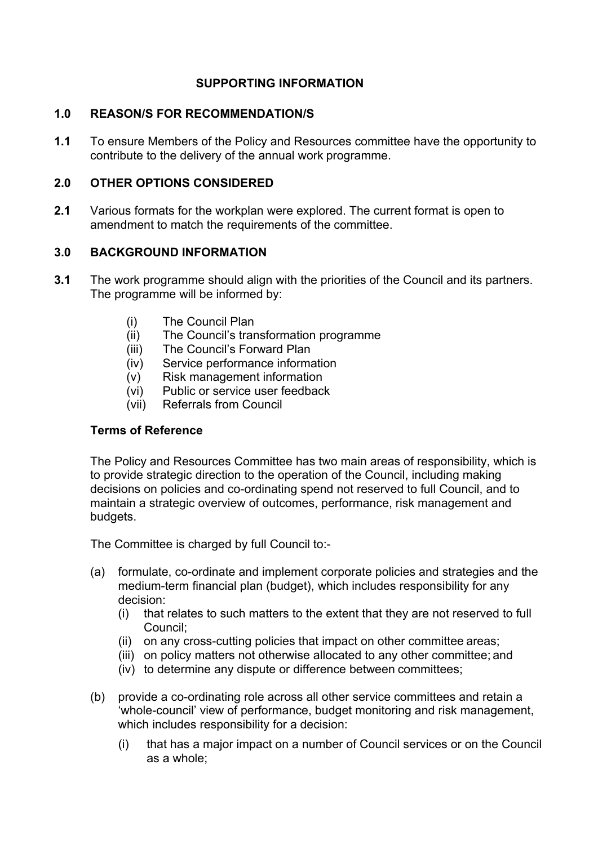## **SUPPORTING INFORMATION**

### **1.0 REASON/S FOR RECOMMENDATION/S**

**1.1** To ensure Members of the Policy and Resources committee have the opportunity to contribute to the delivery of the annual work programme.

## **2.0 OTHER OPTIONS CONSIDERED**

**2.1** Various formats for the workplan were explored. The current format is open to amendment to match the requirements of the committee.

## **3.0 BACKGROUND INFORMATION**

- **3.1** The work programme should align with the priorities of the Council and its partners. The programme will be informed by:
	- (i) The Council Plan
	- (ii) The Council's transformation programme
	- (iii) The Council's Forward Plan
	- (iv) Service performance information
	- (v) Risk management information
	- (vi) Public or service user feedback
	- (vii) Referrals from Council

## **Terms of Reference**

The Policy and Resources Committee has two main areas of responsibility, which is to provide strategic direction to the operation of the Council, including making decisions on policies and co-ordinating spend not reserved to full Council, and to maintain a strategic overview of outcomes, performance, risk management and budgets.

The Committee is charged by full Council to:-

- (a) formulate, co-ordinate and implement corporate policies and strategies and the medium-term financial plan (budget), which includes responsibility for any decision:
	- (i) that relates to such matters to the extent that they are not reserved to full Council;
	- (ii) on any cross-cutting policies that impact on other committee areas;
	- (iii) on policy matters not otherwise allocated to any other committee; and
	- (iv) to determine any dispute or difference between committees;
- (b) provide a co-ordinating role across all other service committees and retain a 'whole-council' view of performance, budget monitoring and risk management, which includes responsibility for a decision:
	- (i) that has a major impact on a number of Council services or on the Council as a whole;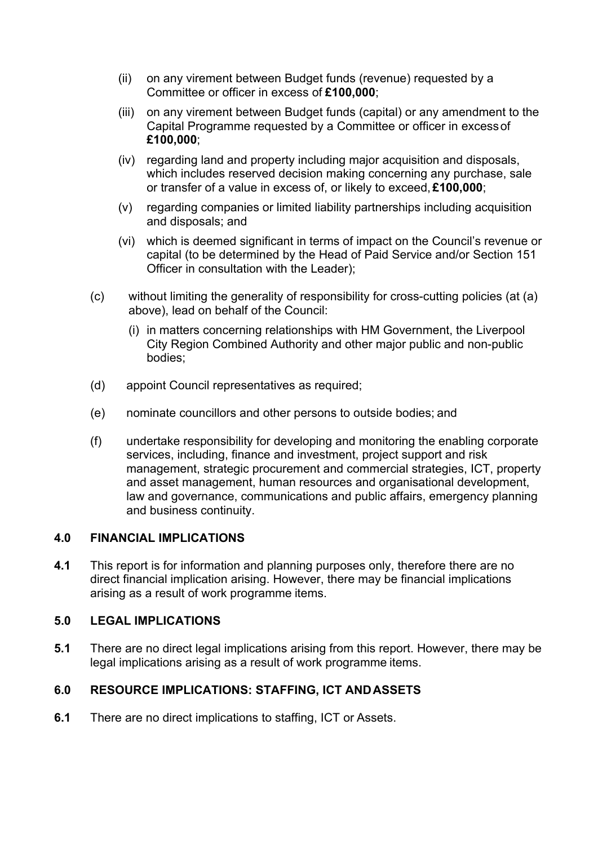- (ii) on any virement between Budget funds (revenue) requested by a Committee or officer in excess of **£100,000**;
- (iii) on any virement between Budget funds (capital) or any amendment to the Capital Programme requested by a Committee or officer in excessof **£100,000**;
- (iv) regarding land and property including major acquisition and disposals, which includes reserved decision making concerning any purchase, sale or transfer of a value in excess of, or likely to exceed, **£100,000**;
- (v) regarding companies or limited liability partnerships including acquisition and disposals; and
- (vi) which is deemed significant in terms of impact on the Council's revenue or capital (to be determined by the Head of Paid Service and/or Section 151 Officer in consultation with the Leader);
- (c) without limiting the generality of responsibility for cross-cutting policies (at (a) above), lead on behalf of the Council:
	- (i) in matters concerning relationships with HM Government, the Liverpool City Region Combined Authority and other major public and non-public bodies;
- (d) appoint Council representatives as required;
- (e) nominate councillors and other persons to outside bodies; and
- (f) undertake responsibility for developing and monitoring the enabling corporate services, including, finance and investment, project support and risk management, strategic procurement and commercial strategies, ICT, property and asset management, human resources and organisational development, law and governance, communications and public affairs, emergency planning and business continuity.

#### **4.0 FINANCIAL IMPLICATIONS**

**4.1** This report is for information and planning purposes only, therefore there are no direct financial implication arising. However, there may be financial implications arising as a result of work programme items.

#### **5.0 LEGAL IMPLICATIONS**

**5.1** There are no direct legal implications arising from this report. However, there may be legal implications arising as a result of work programme items.

#### **6.0 RESOURCE IMPLICATIONS: STAFFING, ICT ANDASSETS**

**6.1** There are no direct implications to staffing, ICT or Assets.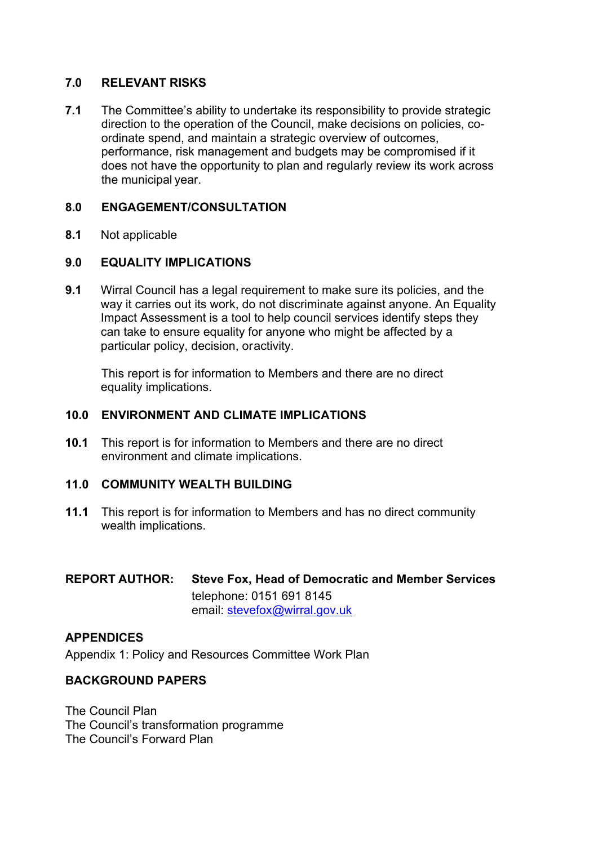## **7.0 RELEVANT RISKS**

**7.1** The Committee's ability to undertake its responsibility to provide strategic direction to the operation of the Council, make decisions on policies, coordinate spend, and maintain a strategic overview of outcomes, performance, risk management and budgets may be compromised if it does not have the opportunity to plan and regularly review its work across the municipal year.

## **8.0 ENGAGEMENT/CONSULTATION**

**8.1** Not applicable

## **9.0 EQUALITY IMPLICATIONS**

**9.1** Wirral Council has a legal requirement to make sure its policies, and the way it carries out its work, do not discriminate against anyone. An Equality Impact Assessment is a tool to help council services identify steps they can take to ensure equality for anyone who might be affected by a particular policy, decision, oractivity.

This report is for information to Members and there are no direct equality implications.

#### **10.0 ENVIRONMENT AND CLIMATE IMPLICATIONS**

**10.1** This report is for information to Members and there are no direct environment and climate implications.

#### **11.0 COMMUNITY WEALTH BUILDING**

**11.1** This report is for information to Members and has no direct community wealth implications.

## **REPORT AUTHOR: Steve Fox, Head of Democratic and Member Services** telephone: 0151 691 8145 email: [stevefox@wirral.gov.uk](mailto:stevefox@wirral.gov.uk)

#### **APPENDICES**

Appendix 1: Policy and Resources Committee Work Plan

#### **BACKGROUND PAPERS**

The Council Plan The Council's transformation programme The Council's Forward Plan